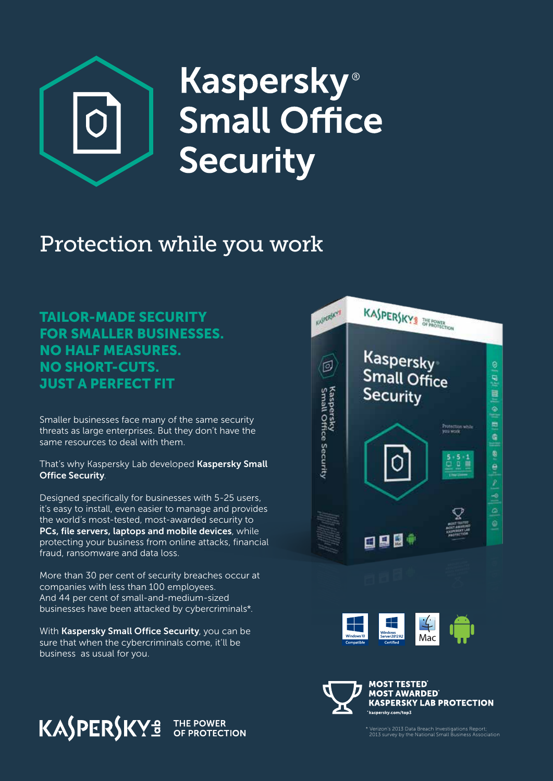

# **Kaspersky**® **Small Office Security**

# Protection while you work

TAILOR-MADE SECURITY FOR SMALLER BUSINESSES. NO HALF MEASURES. NO SHORT-CUTS. JUST A PERFECT FIT

Smaller businesses face many of the same security threats as large enterprises. But they don't have the same resources to deal with them.

That's why Kaspersky Lab developed Kaspersky Small Office Security.

Designed specifically for businesses with 5-25 users, it's easy to install, even easier to manage and provides the world's most-tested, most-awarded security to PCs, file servers, laptops and mobile devices, while protecting your business from online attacks, financial fraud, ransomware and data loss.

More than 30 per cent of security breaches occur at companies with less than 100 employees. And 44 per cent of small-and-medium-sized businesses have been attacked by cybercriminals\*.

With Kaspersky Small Office Security, you can be sure that when the cybercriminals come, it'll be business as usual for you.







\* Verizon's 2013 Data Breach Investigations Report; 2013 survey by the National Small Business Association

**KASPERSKYª** 

THE POWER<br>OF PROTECTION